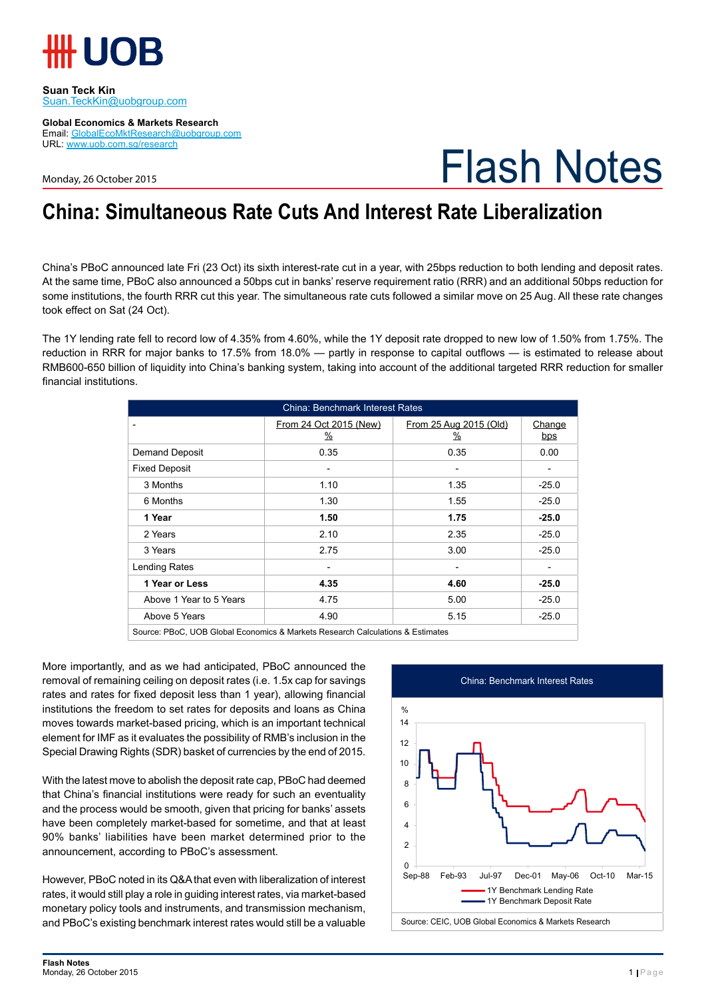

**Suan Teck Kin** Suan.TeckKin@uobgroup.com

**Global Economics & Markets Research** Email: GlobalEcoMktResearch@uobgroup.com URL: www.uob.com.sg/research

Monday, 26 October 2015

# Flash Notes

### **China: Simultaneous Rate Cuts And Interest Rate Liberalization**

China's PBoC announced late Fri (23 Oct) its sixth interest-rate cut in a year, with 25bps reduction to both lending and deposit rates. At the same time, PBoC also announced a 50bps cut in banks' reserve requirement ratio (RRR) and an additional 50bps reduction for some institutions, the fourth RRR cut this year. The simultaneous rate cuts followed a similar move on 25 Aug. All these rate changes took effect on Sat (24 Oct).

The 1Y lending rate fell to record low of 4.35% from 4.60%, while the 1Y deposit rate dropped to new low of 1.50% from 1.75%. The reduction in RRR for major banks to 17.5% from 18.0% — partly in response to capital outflows — is estimated to release about RMB600-650 billion of liquidity into China's banking system, taking into account of the additional targeted RRR reduction for smaller financial institutions.

| <b>China: Benchmark Interest Rates</b> |                                |                                         |               |  |  |  |
|----------------------------------------|--------------------------------|-----------------------------------------|---------------|--|--|--|
|                                        | From 24 Oct 2015 (New)<br>$\%$ | From 25 Aug 2015 (Old)<br>$\frac{9}{6}$ | Change<br>bps |  |  |  |
| <b>Demand Deposit</b>                  | 0.35                           | 0.35                                    | 0.00          |  |  |  |
| <b>Fixed Deposit</b>                   | $\overline{\phantom{0}}$       | $\overline{\phantom{a}}$                |               |  |  |  |
| 3 Months                               | 1.10                           | 1.35                                    | $-25.0$       |  |  |  |
| 6 Months                               | 1.30                           | 1.55                                    | $-25.0$       |  |  |  |
| 1 Year                                 | 1.50                           | 1.75                                    | $-25.0$       |  |  |  |
| 2 Years                                | 2.10                           | 2.35                                    | $-25.0$       |  |  |  |
| 3 Years                                | 2.75                           | 3.00                                    | $-25.0$       |  |  |  |
| Lending Rates                          |                                |                                         |               |  |  |  |
| 1 Year or Less                         | 4.35                           | 4.60                                    | $-25.0$       |  |  |  |
| Above 1 Year to 5 Years                | 4.75                           | 5.00                                    | $-25.0$       |  |  |  |
| Above 5 Years                          | 4.90                           | 5.15                                    | $-25.0$       |  |  |  |

Source: PBoC, UOB Global Economics & Markets Research Calculations & Estimates

More importantly, and as we had anticipated, PBoC announced the removal of remaining ceiling on deposit rates (i.e. 1.5x cap for savings rates and rates for fixed deposit less than 1 year), allowing financial institutions the freedom to set rates for deposits and loans as China moves towards market-based pricing, which is an important technical element for IMF as it evaluates the possibility of RMB's inclusion in the Special Drawing Rights (SDR) basket of currencies by the end of 2015.

With the latest move to abolish the deposit rate cap, PBoC had deemed that China's financial institutions were ready for such an eventuality and the process would be smooth, given that pricing for banks' assets have been completely market-based for sometime, and that at least 90% banks' liabilities have been market determined prior to the announcement, according to PBoC's assessment.

However, PBoC noted in its Q&A that even with liberalization of interest rates, it would still play a role in guiding interest rates, via market-based monetary policy tools and instruments, and transmission mechanism, and PBoC's existing benchmark interest rates would still be a valuable

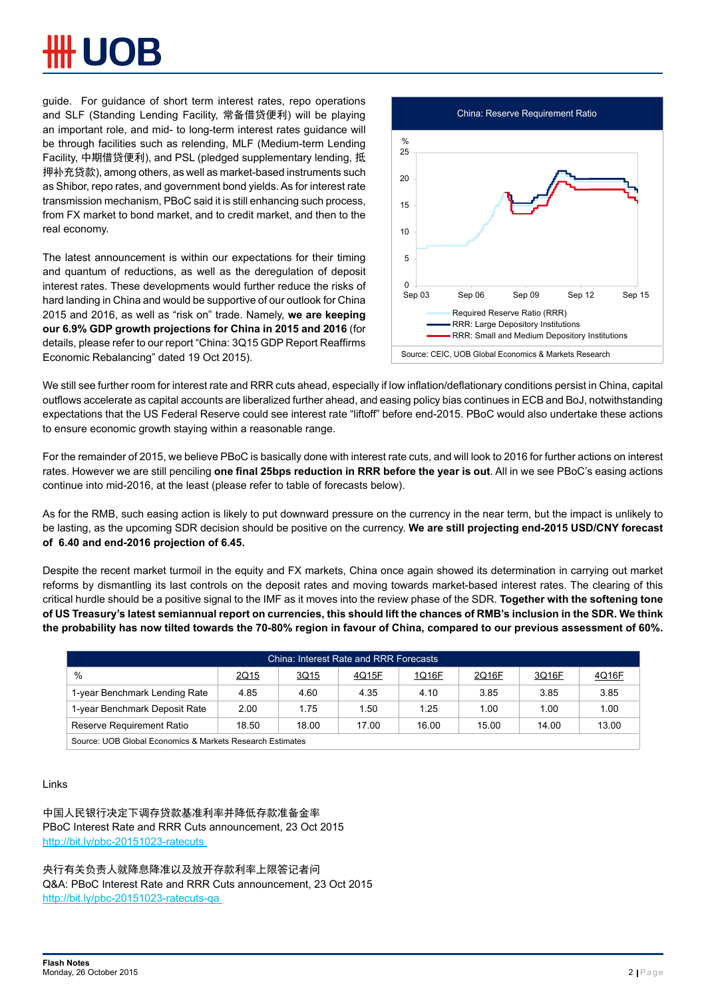guide. For guidance of short term interest rates, repo operations and SLF (Standing Lending Facility, 常备借贷便利) will be playing an important role, and mid- to long-term interest rates guidance will be through facilities such as relending, MLF (Medium-term Lending Facility, 中期借贷便利), and PSL (pledged supplementary lending, 抵 押补充贷款), among others, as well as market-based instruments such as Shibor, repo rates, and government bond yields. As for interest rate transmission mechanism, PBoC said it is still enhancing such process, from FX market to bond market, and to credit market, and then to the real economy.

The latest announcement is within our expectations for their timing and quantum of reductions, as well as the deregulation of deposit interest rates. These developments would further reduce the risks of hard landing in China and would be supportive of our outlook for China 2015 and 2016, as well as "risk on" trade. Namely, **we are keeping our 6.9% GDP growth projections for China in 2015 and 2016** (for details, please refer to our report "China: 3Q15 GDP Report Reaffirms Economic Rebalancing" dated 19 Oct 2015).



We still see further room for interest rate and RRR cuts ahead, especially if low inflation/deflationary conditions persist in China, capital outflows accelerate as capital accounts are liberalized further ahead, and easing policy bias continues in ECB and BoJ, notwithstanding expectations that the US Federal Reserve could see interest rate "liftoff" before end-2015. PBoC would also undertake these actions to ensure economic growth staying within a reasonable range.

For the remainder of 2015, we believe PBoC is basically done with interest rate cuts, and will look to 2016 for further actions on interest rates. However we are still penciling **one final 25bps reduction in RRR before the year is out**. All in we see PBoC's easing actions continue into mid-2016, at the least (please refer to table of forecasts below).

As for the RMB, such easing action is likely to put downward pressure on the currency in the near term, but the impact is unlikely to be lasting, as the upcoming SDR decision should be positive on the currency. **We are still projecting end-2015 USD/CNY forecast of 6.40 and end-2016 projection of 6.45.** 

Despite the recent market turmoil in the equity and FX markets, China once again showed its determination in carrying out market reforms by dismantling its last controls on the deposit rates and moving towards market-based interest rates. The clearing of this critical hurdle should be a positive signal to the IMF as it moves into the review phase of the SDR. **Together with the softening tone of US Treasury's latest semiannual report on currencies, this should lift the chances of RMB's inclusion in the SDR. We think the probability has now tilted towards the 70-80% region in favour of China, compared to our previous assessment of 60%.** 

| China: Interest Rate and RRR Forecasts                    |       |       |       |       |       |       |       |
|-----------------------------------------------------------|-------|-------|-------|-------|-------|-------|-------|
| $\%$                                                      | 2Q15  | 3Q15  | 4Q15F | 1Q16F | 2Q16F | 3Q16F | 4Q16F |
| 1-year Benchmark Lending Rate                             | 4.85  | 4.60  | 4.35  | 4.10  | 3.85  | 3.85  | 3.85  |
| 1-year Benchmark Deposit Rate                             | 2.00  | 1.75  | .50   | 1.25  | 1.00  | 1.00  | 1.00  |
| Reserve Requirement Ratio                                 | 18.50 | 18.00 | 17.00 | 16.00 | 15.00 | 14.00 | 13.00 |
| Source: UOB Global Economics & Markets Research Estimates |       |       |       |       |       |       |       |

### Links

中国人民银行决定下调存贷款基准利率并降低存款准备金率 PBoC Interest Rate and RRR Cuts announcement, 23 Oct 2015 http://bit.ly/pbc-20151023-ratecuts

央行有关负责人就降息降准以及放开存款利率上限答记者问 Q&A: PBoC Interest Rate and RRR Cuts announcement, 23 Oct 2015 http://bit.ly/pbc-20151023-ratecuts-qa